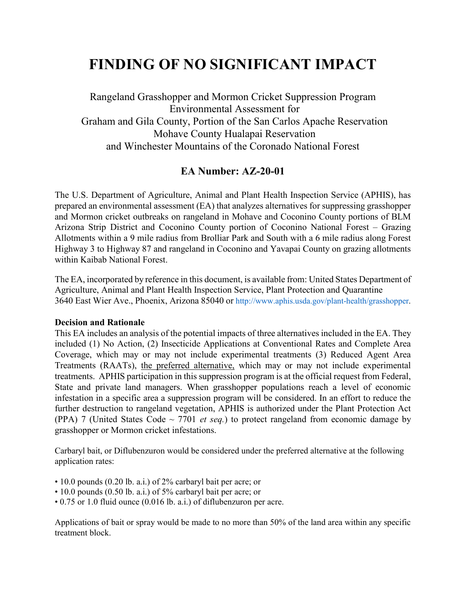# **FINDING OF NO SIGNIFICANT IMPACT**

Rangeland Grasshopper and Mormon Cricket Suppression Program Environmental Assessment for Graham and Gila County, Portion of the San Carlos Apache Reservation Mohave County Hualapai Reservation and Winchester Mountains of the Coronado National Forest

# **EA Number: AZ-20-01**

The U.S. Department of Agriculture, Animal and Plant Health Inspection Service (APHIS), has prepared an environmental assessment (EA) that analyzes alternatives for suppressing grasshopper and Mormon cricket outbreaks on rangeland in Mohave and Coconino County portions of BLM Arizona Strip District and Coconino County portion of Coconino National Forest – Grazing Allotments within a 9 mile radius from Brolliar Park and South with a 6 mile radius along Forest Highway 3 to Highway 87 and rangeland in Coconino and Yavapai County on grazing allotments within Kaibab National Forest.

The EA, incorporated by reference in this document, is available from: United States Department of Agriculture, Animal and Plant Health Inspection Service, Plant Protection and Quarantine 3640 East Wier Ave., Phoenix, Arizona 85040 or http://www.aphis.usda.gov/plant-health/grasshopper.

#### **Decision and Rationale**

This EA includes an analysis of the potential impacts of three alternatives included in the EA. They included (1) No Action, (2) Insecticide Applications at Conventional Rates and Complete Area Coverage, which may or may not include experimental treatments (3) Reduced Agent Area Treatments (RAATs), the preferred alternative, which may or may not include experimental treatments. APHIS participation in this suppression program is at the official request from Federal, State and private land managers. When grasshopper populations reach a level of economic infestation in a specific area a suppression program will be considered. In an effort to reduce the further destruction to rangeland vegetation, APHIS is authorized under the Plant Protection Act (PPA) 7 (United States Code  $\sim$  7701 *et seq.*) to protect rangeland from economic damage by grasshopper or Mormon cricket infestations.

Carbaryl bait, or Diflubenzuron would be considered under the preferred alternative at the following application rates:

- 10.0 pounds (0.20 lb. a.i.) of 2% carbaryl bait per acre; or
- 10.0 pounds (0.50 lb. a.i.) of 5% carbaryl bait per acre; or
- 0.75 or 1.0 fluid ounce (0.016 lb. a.i.) of diflubenzuron per acre.

Applications of bait or spray would be made to no more than 50% of the land area within any specific treatment block.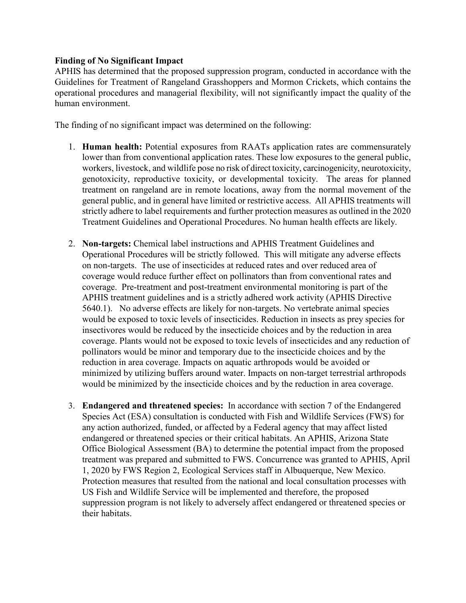## **Finding of No Significant Impact**

APHIS has determined that the proposed suppression program, conducted in accordance with the Guidelines for Treatment of Rangeland Grasshoppers and Mormon Crickets, which contains the operational procedures and managerial flexibility, will not significantly impact the quality of the human environment.

The finding of no significant impact was determined on the following:

- 1. **Human health:** Potential exposures from RAATs application rates are commensurately lower than from conventional application rates. These low exposures to the general public, workers, livestock, and wildlife pose no risk of direct toxicity, carcinogenicity, neurotoxicity, genotoxicity, reproductive toxicity, or developmental toxicity. The areas for planned treatment on rangeland are in remote locations, away from the normal movement of the general public, and in general have limited or restrictive access. All APHIS treatments will strictly adhere to label requirements and further protection measures as outlined in the 2020 Treatment Guidelines and Operational Procedures. No human health effects are likely.
- 2. **Non-targets:** Chemical label instructions and APHIS Treatment Guidelines and Operational Procedures will be strictly followed. This will mitigate any adverse effects on non-targets. The use of insecticides at reduced rates and over reduced area of coverage would reduce further effect on pollinators than from conventional rates and coverage. Pre-treatment and post-treatment environmental monitoring is part of the APHIS treatment guidelines and is a strictly adhered work activity (APHIS Directive 5640.1). No adverse effects are likely for non-targets. No vertebrate animal species would be exposed to toxic levels of insecticides. Reduction in insects as prey species for insectivores would be reduced by the insecticide choices and by the reduction in area coverage. Plants would not be exposed to toxic levels of insecticides and any reduction of pollinators would be minor and temporary due to the insecticide choices and by the reduction in area coverage. Impacts on aquatic arthropods would be avoided or minimized by utilizing buffers around water. Impacts on non-target terrestrial arthropods would be minimized by the insecticide choices and by the reduction in area coverage.
- 3. **Endangered and threatened species:** In accordance with section 7 of the Endangered Species Act (ESA) consultation is conducted with Fish and Wildlife Services (FWS) for any action authorized, funded, or affected by a Federal agency that may affect listed endangered or threatened species or their critical habitats. An APHIS, Arizona State Office Biological Assessment (BA) to determine the potential impact from the proposed treatment was prepared and submitted to FWS. Concurrence was granted to APHIS, April 1, 2020 by FWS Region 2, Ecological Services staff in Albuquerque, New Mexico. Protection measures that resulted from the national and local consultation processes with US Fish and Wildlife Service will be implemented and therefore, the proposed suppression program is not likely to adversely affect endangered or threatened species or their habitats.